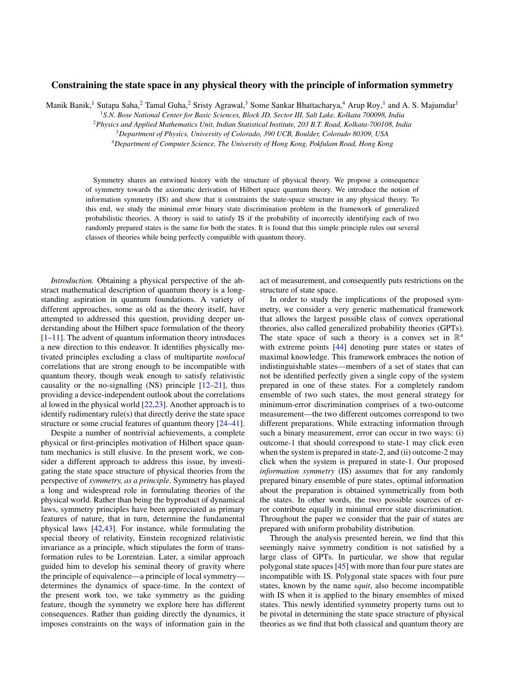## **Constraining the state space in any physical theory with the principle of information symmetry**

Manik Banik,<sup>1</sup> Sutapa Saha,<sup>2</sup> Tamal Guha,<sup>2</sup> Sristy Agrawal,<sup>3</sup> Some Sankar Bhattacharya,<sup>4</sup> Arup Roy,<sup>1</sup> and A. S. Majumdar<sup>1</sup>

<sup>1</sup>*S.N. Bose National Center for Basic Sciences, Block JD, Sector III, Salt Lake, Kolkata 700098, India*

<sup>2</sup>*Physics and Applied Mathematics Unit, Indian Statistical Institute, 203 B.T. Road, Kolkata-700108, India*

<sup>3</sup>*Department of Physics, University of Colorado, 390 UCB, Boulder, Colorado 80309, USA*

<sup>4</sup>*Department of Computer Science, The University of Hong Kong, Pokfulam Road, Hong Kong*

Symmetry shares an entwined history with the structure of physical theory. We propose a consequence of symmetry towards the axiomatic derivation of Hilbert space quantum theory. We introduce the notion of information symmetry (IS) and show that it constraints the state-space structure in any physical theory. To this end, we study the minimal error binary state discrimination problem in the framework of generalized probabilistic theories. A theory is said to satisfy IS if the probability of incorrectly identifying each of two randomly prepared states is the same for both the states. It is found that this simple principle rules out several classes of theories while being perfectly compatible with quantum theory.

*Introduction.* Obtaining a physical perspective of the abstract mathematical description of quantum theory is a longstanding aspiration in quantum foundations. A variety of different approaches, some as old as the theory itself, have attempted to addressed this question, providing deeper understanding about the Hilbert space formulation of the theory  $[1-11]$ . The advent of quantum information theory introduces a new direction to this endeavor. It identifies physically motivated principles excluding a class of multipartite *nonlocal* correlations that are strong enough to be incompatible with quantum theory, though weak enough to satisfy relativistic causality or the no-signalling  $(NS)$  principle  $[12-21]$  $[12-21]$ , thus providing a device-independent outlook about the correlations al lowed in the physical world  $[22,23]$ . Another approach is to identify rudimentary rule(s) that directly derive the state space structure or some crucial features of quantum theory [\[24–41\]](#page-4-0).

Despite a number of nontrivial achievements, a complete physical or first-principles motivation of Hilbert space quantum mechanics is still elusive. In the present work, we consider a different approach to address this issue, by investigating the state space structure of physical theories from the perspective of *symmetry, as a principle*. Symmetry has played a long and widespread role in formulating theories of the physical world. Rather than being the byproduct of dynamical laws, symmetry principles have been appreciated as primary features of nature, that in turn, determine the fundamental physical laws [\[42,43\]](#page-4-0). For instance, while formulating the special theory of relativity, Einstein recognized relativistic invariance as a principle, which stipulates the form of transformation rules to be Lorentzian. Later, a similar approach guided him to develop his seminal theory of gravity where the principle of equivalence—a principle of local symmetry determines the dynamics of space-time. In the context of the present work too, we take symmetry as the guiding feature, though the symmetry we explore here has different consequences. Rather than guiding directly the dynamics, it imposes constraints on the ways of information gain in the act of measurement, and consequently puts restrictions on the structure of state space.

In order to study the implications of the proposed symmetry, we consider a very generic mathematical framework that allows the largest possible class of convex operational theories, also called generalized probability theories (GPTs). The state space of such a theory is a convex set in  $\mathbb{R}^n$ with extreme points [\[44\]](#page-4-0) denoting pure states or states of maximal knowledge. This framework embraces the notion of indistinguishable states—members of a set of states that can not be identified perfectly given a single copy of the system prepared in one of these states. For a completely random ensemble of two such states, the most general strategy for minimum-error discrimination comprises of a two-outcome measurement—the two different outcomes correspond to two different preparations. While extracting information through such a binary measurement, error can occur in two ways: (i) outcome-1 that should correspond to state-1 may click even when the system is prepared in state-2, and (ii) outcome-2 may click when the system is prepared in state-1. Our proposed *information symmetry* (IS) assumes that for any randomly prepared binary ensemble of pure states, optimal information about the preparation is obtained symmetrically from both the states. In other words, the two possible sources of error contribute equally in minimal error state discrimination. Throughout the paper we consider that the pair of states are prepared with uniform probability distribution.

Through the analysis presented herein, we find that this seemingly naive symmetry condition is not satisfied by a large class of GPTs. In particular, we show that regular polygonal state spaces [\[45\]](#page-4-0) with more than four pure states are incompatible with IS. Polygonal state spaces with four pure states, known by the name *squit*, also become incompatible with IS when it is applied to the binary ensembles of mixed states. This newly identified symmetry property turns out to be pivotal in determining the state space structure of physical theories as we find that both classical and quantum theory are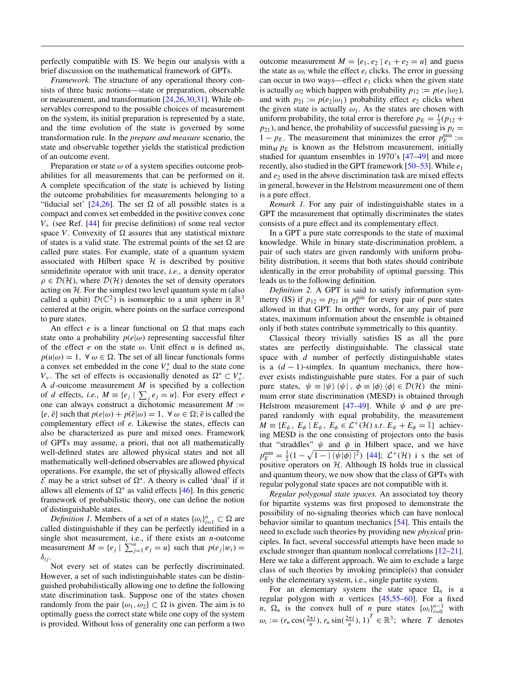perfectly compatible with IS. We begin our analysis with a brief discussion on the mathematical framework of GPTs.

*Framework.* The structure of any operational theory consists of three basic notions—state or preparation, observable or measurement, and transformation [\[24,26,30,31\]](#page-4-0). While observables correspond to the possible choices of measurement on the system, its initial preparation is represented by a state, and the time evolution of the state is governed by some transformation rule. In the *prepare and measure* scenario, the state and observable together yields the statistical prediction of an outcome event.

Preparation or state  $\omega$  of a system specifies outcome probabilities for all measurements that can be performed on it. A complete specification of the state is achieved by listing the outcome probabilities for measurements belonging to a "fiducial set"  $[24,26]$ . The set  $\Omega$  of all possible states is a compact and convex set embedded in the positive convex cone  $V_{+}$  (see Ref. [\[44\]](#page-4-0) for precise definition) of some real vector space *V*. Convexity of  $\Omega$  assures that any statistical mixture of states is a valid state. The extremal points of the set  $\Omega$  are called pure states. For example, state of a quantum system associated with Hilbert space  $H$  is described by positive semidefinite operator with unit trace, *i.e.*, a density operator  $\rho \in \mathcal{D}(\mathcal{H})$ , where  $\mathcal{D}(\mathcal{H})$  denotes the set of density operators acting on  $H$ . For the simplest two level quantum system (also called a qubit)  $\mathcal{D}(\mathbb{C}^2)$  is isomorphic to a unit sphere in  $\mathbb{R}^3$ centered at the origin, where points on the surface correspond to pure states.

An effect *e* is a linear functional on  $\Omega$  that maps each state onto a probability  $p(e|\omega)$  representing successful filter of the effect  $e$  on the state  $\omega$ . Unit effect  $u$  is defined as,  $p(u|\omega) = 1$ ,  $\forall \omega \in \Omega$ . The set of all linear functionals forms a convex set embedded in the cone  $V^*$  dual to the state cone *V*<sub>+</sub>. The set of effects is occasionally denoted as  $\Omega^* \subset V^*_+$ . A *d*-outcome measurement *M* is specified by a collection of *d* effects, *i.e.*,  $M \equiv \{e_j \mid \sum_j e_j = u\}$ . For every effect *e* one can always construct a dichotomic measurement  $M$  :=  ${e, \bar{e}}$  such that  $p(e|\omega) + p(\bar{e}|\omega) = 1$ ,  $\forall \omega \in \Omega$ ;  $\bar{e}$  is called the complementary effect of *e*. Likewise the states, effects can also be characterized as pure and mixed ones. Framework of GPTs may assume, a priori, that not all mathematically well-defined states are allowed physical states and not all mathematically well-defined observables are allowed physical operations. For example, the set of physically allowed effects  $\mathcal E$  may be a strict subset of  $\Omega^*$ . A theory is called 'dual' if it allows all elements of  $\Omega^*$  as valid effects [\[46\]](#page-4-0). In this generic framework of probabilistic theory, one can define the notion of distinguishable states.

*Definition 1.* Members of a set of *n* states  $\{\omega_i\}_{i=1}^n \subset \Omega$  are called distinguishable if they can be perfectly identified in a single shot measurement, i.e., if there exists an *n*-outcome measurement  $M = \{e_j \mid \sum_{j=1}^n e_j = u\}$  such that  $p(e_j|w_i) =$  $\delta_{ij}$ .

Not every set of states can be perfectly discriminated. However, a set of such indistinguishable states can be distinguished probabilistically allowing one to define the following state discrimination task. Suppose one of the states chosen randomly from the pair  $\{\omega_1, \omega_2\} \subset \Omega$  is given. The aim is to optimally guess the correct state while one copy of the system is provided. Without loss of generality one can perform a two

outcome measurement  $M = \{e_1, e_2 \mid e_1 + e_2 = u\}$  and guess the state as  $\omega_i$  while the effect  $e_i$  clicks. The error in guessing can occur in two ways—effect *e*<sup>1</sup> clicks when the given state is actually  $\omega_2$  which happen with probability  $p_{12} := p(e_1|\omega_2)$ , and with  $p_{21} := p(e_2|\omega_1)$  probability effect  $e_2$  clicks when the given state is actually  $\omega_1$ . As the states are chosen with uniform probability, the total error is therefore  $p_E = \frac{1}{2}(p_{12} + p_{12})$  $p_{21}$ ), and hence, the probability of successful guessing is  $p_I =$ 1 –  $p_E$ . The measurement that minimizes the error  $p_E^{\text{min}}$  :=  $\min_M p_E$  is known as the Helstrom measurement, initially studied for quantum ensembles in 1970's [\[47–49\]](#page-4-0) and more recently, also studied in the GPT framework [\[50–53\]](#page-4-0). While *e*<sup>1</sup> and  $e_2$  used in the above discrimination task are mixed effects in general, however in the Helstrom measurement one of them is a pure effect.

*Remark 1.* For any pair of indistinguishable states in a GPT the measurement that optimally discriminates the states consists of a pure effect and its complementary effect.

In a GPT a pure state corresponds to the state of maximal knowledge. While in binary state-discrimination problem, a pair of such states are given randomly with uniform probability distribution, it seems that both states should contribute identically in the error probability of optimal guessing. This leads us to the following definition.

*Definition 2.* A GPT is said to satisfy information symmetry (IS) if  $p_{12} = p_{21}$  in  $p_E^{\text{min}}$  for every pair of pure states allowed in that GPT. In orther words, for any pair of pure states, maximum information about the ensemble is obtained only if both states contribute symmetrically to this quantity.

Classical theory trivially satisfies IS as all the pure states are perfectly distinguishable. The classical state space with *d* number of perfectly distinguishable states is a  $(d-1)$ -simplex. In quantum mechanics, there however exists indistinguishable pure states. For a pair of such pure states,  $\psi = |\psi\rangle \langle \psi|$ ,  $\phi = |\phi\rangle \langle \phi| \in \mathcal{D}(\mathcal{H})$  the minimum error state discrimination (MESD) is obtained through Helstrom measurement [\[47–49\]](#page-4-0). While  $\psi$  and  $\phi$  are prepared randomly with equal probability, the measurement  $M \equiv \{E_{\psi}, E_{\phi} \mid E_{\psi}, E_{\phi} \in \mathcal{L}^{+}(\mathcal{H}) \text{ s.t. } E_{\psi} + E_{\phi} = \mathbb{I}\}\text{ achievable}$ ing MESD is the one consisting of projectors onto the basis that "straddles"  $\psi$  and  $\phi$  in Hilbert space, and we have  $p_E^{\text{min}} = \frac{1}{2} (1 - \sqrt{1 - |\langle \psi | \phi \rangle|^2})$  [\[44\]](#page-4-0);  $\mathcal{L}^+(\mathcal{H})$  i s the set of positive operators on  $H$ . Although IS holds true in classical and quantum theory, we now show that the class of GPTs with regular polygonal state spaces are not compatible with it.

*Regular polygonal state spaces.* An associated toy theory for bipartite systems was first proposed to demonstrate the possibility of no-signaling theories which can have nonlocal behavior similar to quantum mechanics [\[54\]](#page-4-0). This entails the need to exclude such theories by providing new *physical* principles. In fact, several successful attempts have been made to exclude stronger than quantum nonlocal correlations [\[12](#page-3-0)[–21\]](#page-4-0). Here we take a different approach. We aim to exclude a large class of such theories by invoking principle(s) that consider only the elementary system, i.e., single partite system.

For an elementary system the state space  $\Omega_n$  is a regular polygon with *n* vertices [\[45,55–](#page-4-0)[60\]](#page-5-0). For a fixed *n*,  $\Omega_n$  is the convex hull of *n* pure states  $\{\omega_i\}_{i=0}^{n-1}$  with  $\omega_i := (r_n \cos(\frac{2\pi i}{n}), r_n \sin(\frac{2\pi i}{n}), 1)^T \in \mathbb{R}^3$ ; where *T* denotes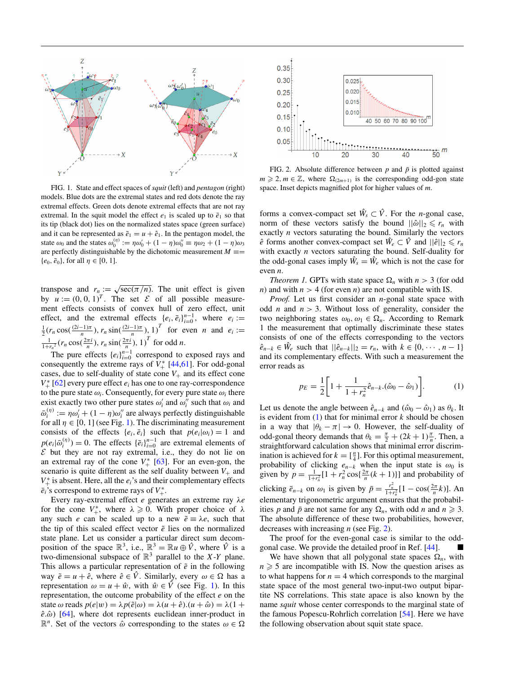

FIG. 1. State and effect spaces of *squit* (left) and *pentagon* (right) models. Blue dots are the extremal states and red dots denote the ray extremal effects. Green dots denote extremal effects that are not ray extremal. In the squit model the effect  $e_1$  is scaled up to  $\tilde{e}_1$  so that its tip (black dot) lies on the normalized states space (green surface) and it can be represented as  $\tilde{e}_1 = u + \hat{e}_1$ . In the pentagon model, the state  $\omega_0$  and the states  $\omega_0^{(\eta)} := \eta \omega_0' + (1 - \eta) \omega_0'' \equiv \eta \omega_2 + (1 - \eta) \omega_3$ are perfectly distinguishable by the dichotomic measurement  $M \equiv$  $\{e_0, \bar{e}_0\}$ , for all  $\eta \in [0, 1]$ .

transpose and  $r_n := \sqrt{\sec(\pi/n)}$ . The unit effect is given by  $u := (0, 0, 1)^T$ . The set  $\mathcal E$  of all possible measurement effects consists of convex hull of zero effect, unit effect, and the extremal effects  $\{e_i, \bar{e}_i\}_{i=0}^{n-1}$ , where  $e_i := \frac{1}{2}(r_n \cos(\frac{(2i-1)\pi}{n}), r_n \sin(\frac{(2i-1)\pi}{n}), 1)$  for even *n* and  $e_i := \frac{1}{1+r_n^2}(r_n \cos(\frac{2\pi i}{n}), r_n \sin(\frac{2\pi i}{n}), 1)$  for odd *n*.

The pure effects  ${e_i}_{i=0}^{n-1}$  correspond to exposed rays and consequently the extreme rays of  $V^*_{+}$  [\[44](#page-4-0)[,61\]](#page-5-0). For odd-gonal cases, due to self-duality of state cone  $V_+$  and its effect cone  $V^*$  [\[62\]](#page-5-0) every pure effect  $e_i$  has one to one ray-correspondence to the pure state  $\omega_i$ . Consequently, for every pure state  $\omega_i$  there exist exactly two other pure states  $\omega_i$  and  $\omega_i$ <sup>*i*</sup> such that  $\omega_i$  and  $\bar{\omega}_i^{(\eta)} := \eta \omega_i' + (1 - \eta) \omega_i''$  are always perfectly distinguishable for all  $\eta \in [0, 1]$  (see Fig. 1). The discriminating measurement consists of the effects  $\{e_i, \bar{e}_i\}$  such that  $p(e_i|\omega_i) = 1$  and  $p(e_i|\bar{\omega}_i^{(\eta)}) = 0$ . The effects  $\{\bar{e}_i\}_{i=0}^{n-1}$  are extremal elements of  $\mathcal E$  but they are not ray extremal, i.e., they do not lie on an extremal ray of the cone  $V^*_{+}$  [\[63\]](#page-5-0). For an even-gon, the scenario is quite different as the self duality between  $V_+$  and  $V_{+}^{*}$  is absent. Here, all the  $e_i$ 's and their complementary effects  $\bar{e}_i$ 's correspond to extreme rays of  $V^*_{+}$ .

Every ray-extremal effect *e* generates an extreme ray λ*e* for the cone  $V_+^*$ , where  $\lambda \geqslant 0$ . With proper choice of  $\lambda$ any such *e* can be scaled up to a new  $\tilde{e} \equiv \lambda e$ , such that the tip of this scaled effect vector  $\tilde{e}$  lies on the normalized state plane. Let us consider a particular direct sum decomposition of the space  $\mathbb{R}^3$ , i.e.,  $\mathbb{R}^3 = \mathbb{R}u \oplus \hat{V}$ , where  $\hat{V}$  is a two-dimensional subspace of  $\mathbb{R}^3$  parallel to the *X*-*Y* plane. This allows a particular representation of  $\tilde{e}$  in the following way  $\tilde{e} = u + \hat{e}$ , where  $\hat{e} \in \hat{V}$ . Similarly, every  $\omega \in \Omega$  has a representation  $\omega = u + \hat{w}$ , with  $\hat{w} \in \hat{V}$  (see Fig. 1). In this representation, the outcome probability of the effect *e* on the state  $\omega$  reads  $p(e|w) = \lambda p(\tilde{e}|\omega) = \lambda(u + \hat{e}).(u + \hat{\omega}) = \lambda(1 +$  $\hat{e}$ . $\hat{\omega}$ ) [\[64\]](#page-5-0), where dot represents euclidean inner-product in  $\mathbb{R}^n$ . Set of the vectors  $\hat{\omega}$  corresponding to the states  $\omega \in \Omega$ 



FIG. 2. Absolute difference between  $p$  and  $\bar{p}$  is plotted against  $m \geq 2, m \in \mathbb{Z}$ , where  $\Omega_{(2m+1)}$  is the corresponding odd-gon state space. Inset depicts magnified plot for higher values of *m*.

forms a convex-compact set  $\hat{W}_s \subset \hat{V}$ . For the *n*-gonal case, norm of these vectors satisfy the bound  $||\hat{\omega}||_2 \le r_n$  with exactly *n* vectors saturating the bound. Similarly the vectors  $\hat{e}$  forms another convex-compact set  $\hat{W}_e \subset \hat{V}$  and  $||\hat{e}||_2 \le r_n$ with exactly *n* vectors saturating the bound. Self-duality for the odd-gonal cases imply  $\hat{W}_s = \hat{W}_e$  which is not the case for even *n*.

*Theorem 1.* GPTs with state space  $\Omega_n$  with  $n > 3$  (for odd *n*) and with  $n > 4$  (for even *n*) are not compatible with IS.

*Proof.* Let us first consider an *n*-gonal state space with odd *n* and  $n > 3$ . Without loss of generality, consider the two neighboring states  $\omega_0, \omega_1 \in \Omega_n$ . According to Remark 1 the measurement that optimally discriminate these states consists of one of the effects corresponding to the vectors  $\hat{e}_{n-k} \in \hat{W}_e$  such that  $||\hat{e}_{n-k}||_2 = r_n$ , with  $k \in \{0, \dots, n-1\}$ and its complementary effects. With such a measurement the error reads as

$$
p_E = \frac{1}{2} \left[ 1 + \frac{1}{1 + r_n^2} \hat{e}_{n-k} . (\hat{\omega}_0 - \hat{\omega}_1) \right].
$$
 (1)

Let us denote the angle between  $\hat{e}_{n-k}$  and  $(\hat{\omega}_0 - \hat{\omega}_1)$  as  $\theta_k$ . It is evident from (1) that for minimal error *k* should be chosen in a way that  $|\theta_k - \pi| \to 0$ . However, the self-duality of odd-gonal theory demands that  $\theta_k = \frac{\pi}{2} + (2k+1)\frac{\pi}{n}$ . Then, a straightforward calculation shows that minimal error discrimination is achieved for  $k = \lceil \frac{n}{4} \rceil$ . For this optimal measurement, probability of clicking  $e_{n-k}$  when the input state is  $\omega_0$  is given by  $p = \frac{1}{1 + r_n^2} [1 + r_n^2 \cos{\{\frac{2\pi}{n}(k+1)\}}]$  and probability of clicking  $\bar{e}_{n-k}$  on  $\omega_1$  is given by  $\bar{p} = \frac{r_n^2}{1+r_n^2} [1 - \cos(\frac{2\pi}{n}k)]$ . An elementary trigonometric argument ensures that the probabilities *p* and  $\bar{p}$  are not same for any  $\Omega_n$ , with odd *n* and  $n \geq 3$ . The absolute difference of these two probabilities, however, decreases with increasing *n* (see Fig. 2).

The proof for the even-gonal case is similar to the oddgonal case. We provide the detailed proof in Ref. [\[44\]](#page-4-0). -

We have shown that all polygonal state spaces  $\Omega_n$ , with  $n \geqslant 5$  are incompatible with IS. Now the question arises as to what happens for  $n = 4$  which corresponds to the marginal state space of the most general two-input-two output bipartite NS correlations. This state apace is also known by the name *squit* whose center corresponds to the marginal state of the famous Popescu-Rohrlich correlation [\[54\]](#page-4-0). Here we have the following observation about squit state space.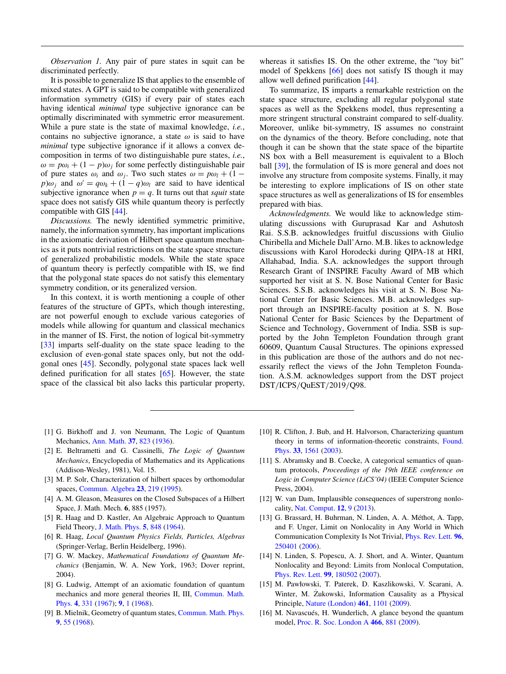<span id="page-3-0"></span>*Observation 1.* Any pair of pure states in squit can be discriminated perfectly.

It is possible to generalize IS that applies to the ensemble of mixed states. A GPT is said to be compatible with generalized information symmetry (GIS) if every pair of states each having identical *minimal* type subjective ignorance can be optimally discriminated with symmetric error measurement. While a pure state is the state of maximal knowledge, *i.e.*, contains no subjective ignorance, a state  $\omega$  is said to have *minimal* type subjective ignorance if it allows a convex decomposition in terms of two distinguishable pure states, *i.e.*,  $\omega = p\omega_i + (1 - p)\omega_i$  for some perfectly distinguishable pair of pure states  $\omega_i$  and  $\omega_j$ . Two such states  $\omega = p\omega_l + (1 - p\omega_j)$ *p*) $\omega_i$  and  $\omega' = q\omega_k + (1 - q)\omega_l$  are said to have identical subjective ignorance when  $p = q$ . It turns out that *squit* state space does not satisfy GIS while quantum theory is perfectly compatible with GIS [\[44\]](#page-4-0).

*Discussions.* The newly identified symmetric primitive, namely, the information symmetry, has important implications in the axiomatic derivation of Hilbert space quantum mechanics as it puts nontrivial restrictions on the state space structure of generalized probabilistic models. While the state space of quantum theory is perfectly compatible with IS, we find that the polygonal state spaces do not satisfy this elementary symmetry condition, or its generalized version.

In this context, it is worth mentioning a couple of other features of the structure of GPTs, which though interesting, are not powerful enough to exclude various categories of models while allowing for quantum and classical mechanics in the manner of IS. First, the notion of logical bit-symmetry [\[33\]](#page-4-0) imparts self-duality on the state space leading to the exclusion of even-gonal state spaces only, but not the oddgonal ones [\[45\]](#page-4-0). Secondly, polygonal state spaces lack well defined purification for all states [\[65\]](#page-5-0). However, the state space of the classical bit also lacks this particular property,

whereas it satisfies IS. On the other extreme, the "toy bit" model of Spekkens [\[66\]](#page-5-0) does not satisfy IS though it may allow well defined purification [\[44\]](#page-4-0).

To summarize, IS imparts a remarkable restriction on the state space structure, excluding all regular polygonal state spaces as well as the Spekkens model, thus representing a more stringent structural constraint compared to self-duality. Moreover, unlike bit-symmetry, IS assumes no constraint on the dynamics of the theory. Before concluding, note that though it can be shown that the state space of the bipartite NS box with a Bell measurement is equivalent to a Bloch ball [\[39\]](#page-4-0), the formulation of IS is more general and does not involve any structure from composite systems. Finally, it may be interesting to explore implications of IS on other state space structures as well as generalizations of IS for ensembles prepared with bias.

*Acknowledgments.* We would like to acknowledge stimulating discussions with Guruprasad Kar and Ashutosh Rai. S.S.B. acknowledges fruitful discussions with Giulio Chiribella and Michele Dall'Arno. M.B. likes to acknowledge discussions with Karol Horodecki during QIPA-18 at HRI, Allahabad, India. S.A. acknowledges the support through Research Grant of INSPIRE Faculty Award of MB which supported her visit at S. N. Bose National Center for Basic Sciences. S.S.B. acknowledges his visit at S. N. Bose National Center for Basic Sciences. M.B. acknowledges support through an INSPIRE-faculty position at S. N. Bose National Center for Basic Sciences by the Department of Science and Technology, Government of India. SSB is supported by the John Templeton Foundation through grant 60609, Quantum Causal Structures. The opinions expressed in this publication are those of the authors and do not necessarily reflect the views of the John Templeton Foundation. A.S.M. acknowledges support from the DST project DST/ICPS/QuEST/2019/Q98.

- [1] G. Birkhoff and J. von Neumann, The Logic of Quantum Mechanics, [Ann. Math.](https://doi.org/10.2307/1968621) **[37](https://doi.org/10.2307/1968621)**, [823](https://doi.org/10.2307/1968621) [\(1936\)](https://doi.org/10.2307/1968621).
- [2] E. Beltrametti and G. Cassinelli, *The Logic of Quantum Mechanics*, Encyclopedia of Mathematics and its Applications (Addison-Wesley, 1981), Vol. 15.
- [3] M. P. Solr, Characterization of hilbert spaces by orthomodular spaces, [Commun. Algebra](https://doi.org/10.1080/00927879508825218) **[23](https://doi.org/10.1080/00927879508825218)**, [219](https://doi.org/10.1080/00927879508825218) [\(1995\)](https://doi.org/10.1080/00927879508825218).
- [4] A. M. Gleason, Measures on the Closed Subspaces of a Hilbert Space, J. Math. Mech. **6**, 885 (1957).
- [5] R. Haag and D. Kastler, An Algebraic Approach to Quantum Field Theory, [J. Math. Phys.](https://doi.org/10.1063/1.1704187) **[5](https://doi.org/10.1063/1.1704187)**, [848](https://doi.org/10.1063/1.1704187) [\(1964\)](https://doi.org/10.1063/1.1704187).
- [6] R. Haag, *Local Quantum Physics Fields, Particles, Algebras* (Springer-Verlag, Berlin Heidelberg, 1996).
- [7] G. W. Mackey, *Mathematical Foundations of Quantum Mechanics* (Benjamin, W. A. New York, 1963; Dover reprint, 2004).
- [8] G. Ludwig, Attempt of an axiomatic foundation of quantum [mechanics and more general theories II, III,](https://doi.org/10.1007/BF01653647) Commun. Math. Phys. **[4](https://doi.org/10.1007/BF01653647)**, [331](https://doi.org/10.1007/BF01653647) [\(1967\)](https://doi.org/10.1007/BF01653647); **[9](https://doi.org/10.1007/BF01654027)**, [1](https://doi.org/10.1007/BF01654027) [\(1968\)](https://doi.org/10.1007/BF01654027).
- [9] B. Mielnik, Geometry of quantum states, [Commun. Math. Phys.](https://doi.org/10.1007/BF01654032) **[9](https://doi.org/10.1007/BF01654032)**, [55](https://doi.org/10.1007/BF01654032) [\(1968\)](https://doi.org/10.1007/BF01654032).
- [10] R. Clifton, J. Bub, and H. Halvorson, Characterizing quantum [theory in terms of information-theoretic constraints,](https://doi.org/10.1023/A:1026056716397) Found. Phys. **[33](https://doi.org/10.1023/A:1026056716397)**, [1561](https://doi.org/10.1023/A:1026056716397) [\(2003\)](https://doi.org/10.1023/A:1026056716397).
- [11] S. Abramsky and B. Coecke, A categorical semantics of quantum protocols, *Proceedings of the 19th IEEE conference on Logic in Computer Science (LiCS'04)* (IEEE Computer Science Press, 2004).
- [12] W. van Dam, Implausible consequences of superstrong nonlocality, [Nat. Comput.](https://doi.org/10.1007/s11047-012-9353-6) **[12](https://doi.org/10.1007/s11047-012-9353-6)**, [9](https://doi.org/10.1007/s11047-012-9353-6) [\(2013\)](https://doi.org/10.1007/s11047-012-9353-6).
- [13] G. Brassard, H. Buhrman, N. Linden, A. A. Méthot, A. Tapp, and F. Unger, Limit on Nonlocality in Any World in Which Communication Complexity Is Not Trivial, [Phys. Rev. Lett.](https://doi.org/10.1103/PhysRevLett.96.250401) **[96](https://doi.org/10.1103/PhysRevLett.96.250401)**, [250401](https://doi.org/10.1103/PhysRevLett.96.250401) [\(2006\)](https://doi.org/10.1103/PhysRevLett.96.250401).
- [14] N. Linden, S. Popescu, A. J. Short, and A. Winter, Quantum Nonlocality and Beyond: Limits from Nonlocal Computation, [Phys. Rev. Lett.](https://doi.org/10.1103/PhysRevLett.99.180502) **[99](https://doi.org/10.1103/PhysRevLett.99.180502)**, [180502](https://doi.org/10.1103/PhysRevLett.99.180502) [\(2007\)](https://doi.org/10.1103/PhysRevLett.99.180502).
- [15] M. Pawłowski, T. Paterek, D. Kaszlikowski, V. Scarani, A. Winter, M. Żukowski, Information Causality as a Physical Principle, [Nature \(London\)](https://doi.org/10.1038/nature08400) **[461](https://doi.org/10.1038/nature08400)**, [1101](https://doi.org/10.1038/nature08400) [\(2009\)](https://doi.org/10.1038/nature08400).
- [16] M. Navascués, H. Wunderlich, A glance beyond the quantum model, [Proc. R. Soc. London A](https://doi.org/10.1098/rspa.2009.0453) **[466](https://doi.org/10.1098/rspa.2009.0453)**, [881](https://doi.org/10.1098/rspa.2009.0453) [\(2009\)](https://doi.org/10.1098/rspa.2009.0453).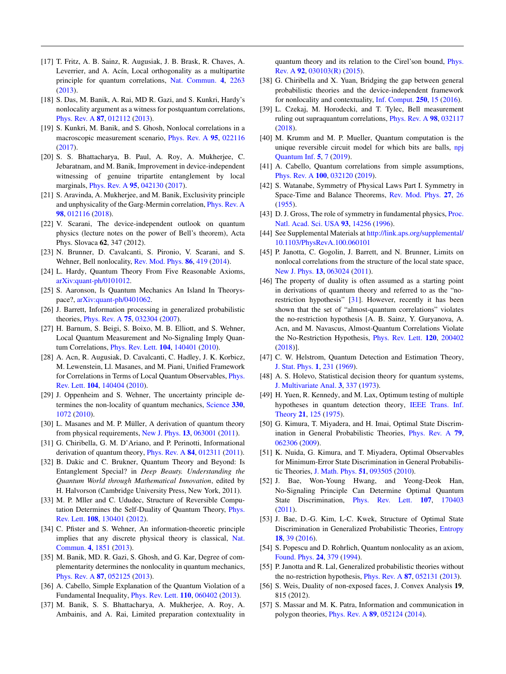- <span id="page-4-0"></span>[17] T. Fritz, A. B. Sainz, R. Augusiak, J. B. Brask, R. Chaves, A. Leverrier, and A. Acín, Local orthogonality as a multipartite principle for quantum correlations, [Nat. Commun.](https://doi.org/10.1038/ncomms3263) **[4](https://doi.org/10.1038/ncomms3263)**, [2263](https://doi.org/10.1038/ncomms3263) [\(2013\)](https://doi.org/10.1038/ncomms3263).
- [18] S. Das, M. Banik, A. Rai, MD R. Gazi, and S. Kunkri, Hardy's nonlocality argument as a witness for postquantum correlations, [Phys. Rev. A](https://doi.org/10.1103/PhysRevA.87.012112) **[87](https://doi.org/10.1103/PhysRevA.87.012112)**, [012112](https://doi.org/10.1103/PhysRevA.87.012112) [\(2013\)](https://doi.org/10.1103/PhysRevA.87.012112).
- [19] S. Kunkri, M. Banik, and S. Ghosh, Nonlocal correlations in a macroscopic measurement scenario, [Phys. Rev. A](https://doi.org/10.1103/PhysRevA.95.022116) **[95](https://doi.org/10.1103/PhysRevA.95.022116)**, [022116](https://doi.org/10.1103/PhysRevA.95.022116) [\(2017\)](https://doi.org/10.1103/PhysRevA.95.022116).
- [20] S. S. Bhattacharya, B. Paul, A. Roy, A. Mukherjee, C. Jebaratnam, and M. Banik, Improvement in device-independent witnessing of genuine tripartite entanglement by local marginals, [Phys. Rev. A](https://doi.org/10.1103/PhysRevA.95.042130) **[95](https://doi.org/10.1103/PhysRevA.95.042130)**, [042130](https://doi.org/10.1103/PhysRevA.95.042130) [\(2017\)](https://doi.org/10.1103/PhysRevA.95.042130).
- [21] S. Aravinda, A. Mukherjee, and M. Banik, Exclusivity principle and unphysicality of the Garg-Mermin correlation, [Phys. Rev. A](https://doi.org/10.1103/PhysRevA.98.012116) **[98](https://doi.org/10.1103/PhysRevA.98.012116)**, [012116](https://doi.org/10.1103/PhysRevA.98.012116) [\(2018\)](https://doi.org/10.1103/PhysRevA.98.012116).
- [22] V. Scarani, The device-independent outlook on quantum physics (lecture notes on the power of Bell's theorem), Acta Phys. Slovaca **62**, 347 (2012).
- [23] N. Brunner, D. Cavalcanti, S. Pironio, V. Scarani, and S. Wehner, Bell nonlocality, [Rev. Mod. Phys.](https://doi.org/10.1103/RevModPhys.86.419) **[86](https://doi.org/10.1103/RevModPhys.86.419)**, [419](https://doi.org/10.1103/RevModPhys.86.419) [\(2014\)](https://doi.org/10.1103/RevModPhys.86.419).
- [24] L. Hardy, Quantum Theory From Five Reasonable Axioms, [arXiv:quant-ph/0101012.](http://arxiv.org/abs/arXiv:quant-ph/0101012)
- [25] S. Aaronson, Is Quantum Mechanics An Island In Theoryspace?, [arXiv:quant-ph/0401062.](http://arxiv.org/abs/arXiv:quant-ph/0401062)
- [26] J. Barrett, Information processing in generalized probabilistic theories, [Phys. Rev. A](https://doi.org/10.1103/PhysRevA.75.032304) **[75](https://doi.org/10.1103/PhysRevA.75.032304)**, [032304](https://doi.org/10.1103/PhysRevA.75.032304) [\(2007\)](https://doi.org/10.1103/PhysRevA.75.032304).
- [27] H. Barnum, S. Beigi, S. Boixo, M. B. Elliott, and S. Wehner, Local Quantum Measurement and No-Signaling Imply Quantum Correlations, [Phys. Rev. Lett.](https://doi.org/10.1103/PhysRevLett.104.140401) **[104](https://doi.org/10.1103/PhysRevLett.104.140401)**, [140401](https://doi.org/10.1103/PhysRevLett.104.140401) [\(2010\)](https://doi.org/10.1103/PhysRevLett.104.140401).
- [28] A. Acn, R. Augusiak, D. Cavalcanti, C. Hadley, J. K. Korbicz, M. Lewenstein, Ll. Masanes, and M. Piani, Unified Framework [for Correlations in Terms of Local Quantum Observables,](https://doi.org/10.1103/PhysRevLett.104.140404) Phys. Rev. Lett. **[104](https://doi.org/10.1103/PhysRevLett.104.140404)**, [140404](https://doi.org/10.1103/PhysRevLett.104.140404) [\(2010\)](https://doi.org/10.1103/PhysRevLett.104.140404).
- [29] J. Oppenheim and S. Wehner, The uncertainty principle determines the non-locality of quantum mechanics, [Science](https://doi.org/10.1126/science.1192065) **[330](https://doi.org/10.1126/science.1192065)**, [1072](https://doi.org/10.1126/science.1192065) [\(2010\)](https://doi.org/10.1126/science.1192065).
- [30] L. Masanes and M. P. Müller, A derivation of quantum theory from physical requirements, [New J. Phys.](https://doi.org/10.1088/1367-2630/13/6/063001) **[13](https://doi.org/10.1088/1367-2630/13/6/063001)**, [063001](https://doi.org/10.1088/1367-2630/13/6/063001) [\(2011\)](https://doi.org/10.1088/1367-2630/13/6/063001).
- [31] G. Chiribella, G. M. D'Ariano, and P. Perinotti, Informational derivation of quantum theory, [Phys. Rev. A](https://doi.org/10.1103/PhysRevA.84.012311) **[84](https://doi.org/10.1103/PhysRevA.84.012311)**, [012311](https://doi.org/10.1103/PhysRevA.84.012311) [\(2011\)](https://doi.org/10.1103/PhysRevA.84.012311).
- [32] B. Dakic and C. Brukner, Quantum Theory and Beyond: Is Entanglement Special? in *Deep Beauty. Understanding the Quantum World through Mathematical Innovation*, edited by H. Halvorson (Cambridge University Press, New York, 2011).
- [33] M. P. Mller and C. Ududec, Structure of Reversible Compu[tation Determines the Self-Duality of Quantum Theory,](https://doi.org/10.1103/PhysRevLett.108.130401) Phys. Rev. Lett. **[108](https://doi.org/10.1103/PhysRevLett.108.130401)**, [130401](https://doi.org/10.1103/PhysRevLett.108.130401) [\(2012\)](https://doi.org/10.1103/PhysRevLett.108.130401).
- [34] C. Pfister and S. Wehner, An information-theoretic principle [implies that any discrete physical theory is classical,](https://doi.org/10.1038/ncomms2821) Nat. Commun. **[4](https://doi.org/10.1038/ncomms2821)**, [1851](https://doi.org/10.1038/ncomms2821) [\(2013\)](https://doi.org/10.1038/ncomms2821).
- [35] M. Banik, MD. R. Gazi, S. Ghosh, and G. Kar, Degree of complementarity determines the nonlocality in quantum mechanics, [Phys. Rev. A](https://doi.org/10.1103/PhysRevA.87.052125) **[87](https://doi.org/10.1103/PhysRevA.87.052125)**, [052125](https://doi.org/10.1103/PhysRevA.87.052125) [\(2013\)](https://doi.org/10.1103/PhysRevA.87.052125).
- [36] A. Cabello, Simple Explanation of the Quantum Violation of a Fundamental Inequality, [Phys. Rev. Lett.](https://doi.org/10.1103/PhysRevLett.110.060402) **[110](https://doi.org/10.1103/PhysRevLett.110.060402)**, [060402](https://doi.org/10.1103/PhysRevLett.110.060402) [\(2013\)](https://doi.org/10.1103/PhysRevLett.110.060402).
- [37] M. Banik, S. S. Bhattacharya, A. Mukherjee, A. Roy, A. Ambainis, and A. Rai, Limited preparation contextuality in

[quantum theory and its relation to the Cirel'son bound,](https://doi.org/10.1103/PhysRevA.92.030103) Phys. Rev. A **[92](https://doi.org/10.1103/PhysRevA.92.030103)**, [030103\(R\)](https://doi.org/10.1103/PhysRevA.92.030103) [\(2015\)](https://doi.org/10.1103/PhysRevA.92.030103).

- [38] G. Chiribella and X. Yuan, Bridging the gap between general probabilistic theories and the device-independent framework for nonlocality and contextuality, [Inf. Comput.](https://doi.org/10.1016/j.ic.2016.02.006) **[250](https://doi.org/10.1016/j.ic.2016.02.006)**, [15](https://doi.org/10.1016/j.ic.2016.02.006) [\(2016\)](https://doi.org/10.1016/j.ic.2016.02.006).
- [39] L. Czekaj, M. Horodecki, and T. Tylec, Bell measurement ruling out supraquantum correlations, [Phys. Rev. A](https://doi.org/10.1103/PhysRevA.98.032117) **[98](https://doi.org/10.1103/PhysRevA.98.032117)**, [032117](https://doi.org/10.1103/PhysRevA.98.032117) [\(2018\)](https://doi.org/10.1103/PhysRevA.98.032117).
- [40] M. Krumm and M. P. Mueller, Quantum computation is the [unique reversible circuit model for which bits are balls,](https://doi.org/10.1038/s41534-018-0123-x) npj Quantum Inf. **[5](https://doi.org/10.1038/s41534-018-0123-x)**, [7](https://doi.org/10.1038/s41534-018-0123-x) [\(2019\)](https://doi.org/10.1038/s41534-018-0123-x).
- [41] A. Cabello, Quantum correlations from simple assumptions, [Phys. Rev. A](https://doi.org/10.1103/PhysRevA.100.032120) **[100](https://doi.org/10.1103/PhysRevA.100.032120)**, [032120](https://doi.org/10.1103/PhysRevA.100.032120) [\(2019\)](https://doi.org/10.1103/PhysRevA.100.032120).
- [42] S. Watanabe, Symmetry of Physical Laws Part I. Symmetry in Space-Time and Balance Theorems, [Rev. Mod. Phys.](https://doi.org/10.1103/RevModPhys.27.26) **[27](https://doi.org/10.1103/RevModPhys.27.26)**, [26](https://doi.org/10.1103/RevModPhys.27.26) [\(1955\)](https://doi.org/10.1103/RevModPhys.27.26).
- [43] [D. J. Gross, The role of symmetry in fundamental physics,](https://doi.org/10.1073/pnas.93.25.14256) Proc. Natl. Acad. Sci. USA **[93](https://doi.org/10.1073/pnas.93.25.14256)**, [14256](https://doi.org/10.1073/pnas.93.25.14256) [\(1996\)](https://doi.org/10.1073/pnas.93.25.14256).
- [44] See Supplemental Materials at [http://link.aps.org/supplemental/](http://link.aps.org/supplemental/10.1103/PhysRevA.100.060101) 10.1103/PhysRevA.100.060101
- [45] P. Janotta, C. Gogolin, J. Barrett, and N. Brunner, Limits on nonlocal correlations from the structure of the local state space, [New J. Phys.](https://doi.org/10.1088/1367-2630/13/6/063024) **[13](https://doi.org/10.1088/1367-2630/13/6/063024)**, [063024](https://doi.org/10.1088/1367-2630/13/6/063024) [\(2011\)](https://doi.org/10.1088/1367-2630/13/6/063024).
- [46] The property of duality is often assumed as a starting point in derivations of quantum theory and referred to as the "norestriction hypothesis" [31]. However, recently it has been shown that the set of "almost-quantum correlations" violates the no-restriction hypothesis [A. B. Sainz, Y. Guryanova, A. Acn, and M. Navascus, Almost-Quantum Correlations Violate the No-Restriction Hypothesis, [Phys. Rev. Lett.](https://doi.org/10.1103/PhysRevLett.120.200402) **[120](https://doi.org/10.1103/PhysRevLett.120.200402)**, [200402](https://doi.org/10.1103/PhysRevLett.120.200402) [\(2018\)](https://doi.org/10.1103/PhysRevLett.120.200402)].
- [47] C. W. Helstrom, Quantum Detection and Estimation Theory, [J. Stat. Phys.](https://doi.org/10.1007/BF01007479) **[1](https://doi.org/10.1007/BF01007479)**, [231](https://doi.org/10.1007/BF01007479) [\(1969\)](https://doi.org/10.1007/BF01007479).
- [48] A. S. Holevo, Statistical decision theory for quantum systems, [J. Multivariate Anal.](https://doi.org/10.1016/0047-259X(73)90028-6) **[3](https://doi.org/10.1016/0047-259X(73)90028-6)**, [337](https://doi.org/10.1016/0047-259X(73)90028-6) [\(1973\)](https://doi.org/10.1016/0047-259X(73)90028-6).
- [49] H. Yuen, R. Kennedy, and M. Lax, Optimum testing of multiple [hypotheses in quantum detection theory,](https://doi.org/10.1109/TIT.1975.1055351) IEEE Trans. Inf. Theory **[21](https://doi.org/10.1109/TIT.1975.1055351)**, [125](https://doi.org/10.1109/TIT.1975.1055351) [\(1975\)](https://doi.org/10.1109/TIT.1975.1055351).
- [50] G. Kimura, T. Miyadera, and H. Imai, Optimal State Discrimination in General Probabilistic Theories, [Phys. Rev. A](https://doi.org/10.1103/PhysRevA.79.062306) **[79](https://doi.org/10.1103/PhysRevA.79.062306)**, [062306](https://doi.org/10.1103/PhysRevA.79.062306) [\(2009\)](https://doi.org/10.1103/PhysRevA.79.062306).
- [51] K. Nuida, G. Kimura, and T. Miyadera, Optimal Observables for Minimum-Error State Discrimination in General Probabilistic Theories, [J. Math. Phys.](https://doi.org/10.1063/1.3479008) **[51](https://doi.org/10.1063/1.3479008)**, [093505](https://doi.org/10.1063/1.3479008) [\(2010\)](https://doi.org/10.1063/1.3479008).
- [52] J. Bae, Won-Young Hwang, and Yeong-Deok Han, No-Signaling Principle Can Determine Optimal Quantum State Discrimination, [Phys. Rev. Lett.](https://doi.org/10.1103/PhysRevLett.107.170403) **[107](https://doi.org/10.1103/PhysRevLett.107.170403)**, [170403](https://doi.org/10.1103/PhysRevLett.107.170403) [\(2011\)](https://doi.org/10.1103/PhysRevLett.107.170403).
- [53] J. Bae, D.-G. Kim, L-C. Kwek, Structure of Optimal State Discrimination in Generalized Probabilistic Theories, [Entropy](https://doi.org/10.3390/e18020039) **[18](https://doi.org/10.3390/e18020039)**, [39](https://doi.org/10.3390/e18020039) [\(2016\)](https://doi.org/10.3390/e18020039).
- [54] S. Popescu and D. Rohrlich, Quantum nonlocality as an axiom, [Found. Phys.](https://doi.org/10.1007/BF02058098) **[24](https://doi.org/10.1007/BF02058098)**, [379](https://doi.org/10.1007/BF02058098) [\(1994\)](https://doi.org/10.1007/BF02058098).
- [55] P. Janotta and R. Lal, Generalized probabilistic theories without the no-restriction hypothesis, [Phys. Rev. A](https://doi.org/10.1103/PhysRevA.87.052131) **[87](https://doi.org/10.1103/PhysRevA.87.052131)**, [052131](https://doi.org/10.1103/PhysRevA.87.052131) [\(2013\)](https://doi.org/10.1103/PhysRevA.87.052131).
- [56] S. Weis, Duality of non-exposed faces, J. Convex Analysis **19**, 815 (2012).
- [57] S. Massar and M. K. Patra, Information and communication in polygon theories, [Phys. Rev. A](https://doi.org/10.1103/PhysRevA.89.052124) **[89](https://doi.org/10.1103/PhysRevA.89.052124)**, [052124](https://doi.org/10.1103/PhysRevA.89.052124) [\(2014\)](https://doi.org/10.1103/PhysRevA.89.052124).